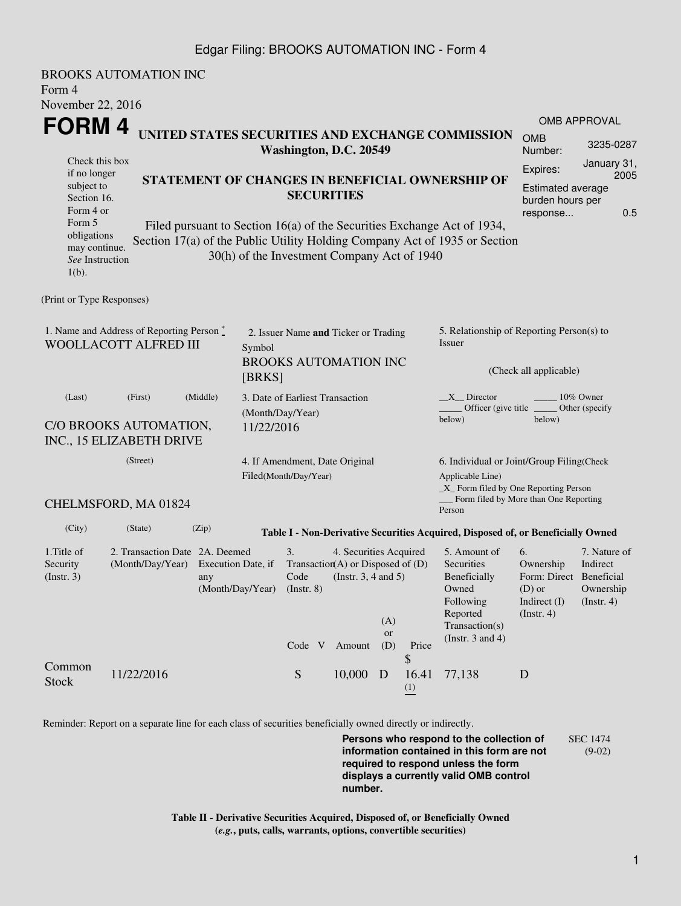## Edgar Filing: BROOKS AUTOMATION INC - Form 4

BROOKS AUTOMATION INC Form 4 November 22, 2016 **FORM 4** Check this box if no longer subject to Section 16. Form 4 or Form 5 obligations may continue. *See* Instruction 1(b). **UNITED STATES SECURITIES AND EXCHANGE COMMISSION Washington, D.C. 20549 STATEMENT OF CHANGES IN BENEFICIAL OWNERSHIP OF SECURITIES** Filed pursuant to Section 16(a) of the Securities Exchange Act of 1934, Section 17(a) of the Public Utility Holding Company Act of 1935 or Section 30(h) of the Investment Company Act of 1940 OMB APPROVAL OMB Number: 3235-0287 Expires: January 31, 2005 Estimated average burden hours per response... 0.5 (Print or Type Responses) 1. Name and Address of Reporting Person  $\degree$ WOOLLACOTT ALFRED III 2. Issuer Name **and** Ticker or Trading Symbol BROOKS AUTOMATION INC [BRKS] 5. Relationship of Reporting Person(s) to Issuer (Check all applicable)  $\text{X}$ <sub>\_</sub>Director  $\text{X}$ <sub>\_\_\_\_\_</sub> 10% Owner Officer (give title below) Other (specify below) (Last) (First) (Middle) C/O BROOKS AUTOMATION, INC., 15 ELIZABETH DRIVE 3. Date of Earliest Transaction (Month/Day/Year) 11/22/2016 (Street) CHELMSFORD, MA 01824 4. If Amendment, Date Original Filed(Month/Day/Year) 6. Individual or Joint/Group Filing(Check Applicable Line) \_X\_ Form filed by One Reporting Person Form filed by More than One Reporting Person (City) (State) (Zip) **Table I - Non-Derivative Securities Acquired, Disposed of, or Beneficially Owned** 1.Title of Security (Instr. 3) 2. Transaction Date 2A. Deemed (Month/Day/Year) Execution Date, if any (Month/Day/Year) 3. Transaction (A) or Disposed of (D) Code (Instr. 8) 4. Securities Acquired (Instr. 3, 4 and 5) 5. Amount of **Securities** Beneficially Owned Following Reported Transaction(s) (Instr. 3 and 4) 6. Ownership Form: Direct (D) or Indirect (I) (Instr. 4) 7. Nature of Indirect Beneficial Ownership (Instr. 4) Code V Amount  $(A)$ or (D) Price Common Stock 11/22/2016 Stock 5 10,000 D \$ 16.41 (1) 77,138 D

Reminder: Report on a separate line for each class of securities beneficially owned directly or indirectly.

**Persons who respond to the collection of information contained in this form are not required to respond unless the form displays a currently valid OMB control number.** SEC 1474 (9-02)

**Table II - Derivative Securities Acquired, Disposed of, or Beneficially Owned (***e.g.***, puts, calls, warrants, options, convertible securities)**